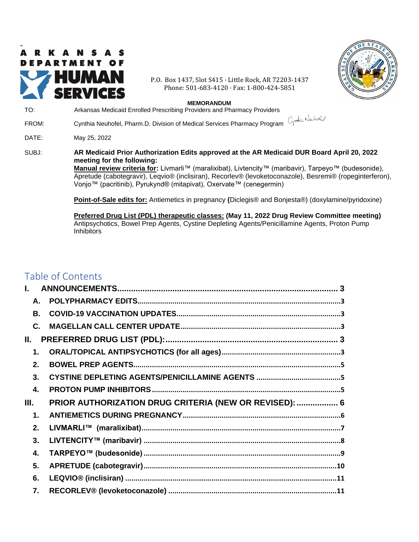<span id="page-0-0"></span>

P.O. Box 1437, Slot S415 · Little Rock, AR 72203-1437 Phone: 501-683-4120 · Fax: 1-800-424-5851



#### **MEMORANDUM**

| TO:   | Arkansas Medicaid Enrolled Prescribing Providers and Pharmacy Providers                                                                                                                                                                                                                                                                                                                                            |
|-------|--------------------------------------------------------------------------------------------------------------------------------------------------------------------------------------------------------------------------------------------------------------------------------------------------------------------------------------------------------------------------------------------------------------------|
| FROM: | Cynthia Neuhofel, Pharm.D. Division of Medical Services Pharmacy Program Cynthia Neuhofel                                                                                                                                                                                                                                                                                                                          |
| DATE: | May 25, 2022                                                                                                                                                                                                                                                                                                                                                                                                       |
| SUBJ: | AR Medicaid Prior Authorization Edits approved at the AR Medicaid DUR Board April 20, 2022<br>meeting for the following:<br>Manual review criteria for: Livmarli™ (maralixibat), Livtencity™ (maribavir), Tarpeyo™ (budesonide),<br>Apretude (cabotegravir), Leqvio® (inclisiran), Recorlev® (levoketoconazole), Besremi® (ropeginterferon),<br>Vonjo™ (pacritinib), Pyrukynd® (mitapivat), Oxervate™ (cenegermin) |
|       | Point-of-Sale edits for: Antiemetics in pregnancy (Diclegis® and Bonjesta®) (doxylamine/pyridoxine)                                                                                                                                                                                                                                                                                                                |
|       | Preferred Drug List (PDL) therapeutic classes: (May 11, 2022 Drug Review Committee meeting)<br>A set son in the Committee Committee of the Committee of the Committee of the Committee of the Committee of th                                                                                                                                                                                                      |

Antipsychotics, Bowel Prep Agents, Cystine Depleting Agents/Penicillamine Agents, Proton Pump Inhibitors

# Table of Contents

| I.    |           |                                                        |  |
|-------|-----------|--------------------------------------------------------|--|
|       | А.        |                                                        |  |
|       | <b>B.</b> |                                                        |  |
|       | C.        |                                                        |  |
| II. I |           |                                                        |  |
|       | 1.        |                                                        |  |
|       | 2.        |                                                        |  |
|       | 3.        |                                                        |  |
|       | 4.        |                                                        |  |
| Ш.    |           | PRIOR AUTHORIZATION DRUG CRITERIA (NEW OR REVISED):  6 |  |
|       | 1.        |                                                        |  |
|       | 2.        |                                                        |  |
|       | 3.        |                                                        |  |
|       | 4.        |                                                        |  |
|       | 5.        |                                                        |  |
|       | 6.        |                                                        |  |
|       | 7.        |                                                        |  |
|       |           |                                                        |  |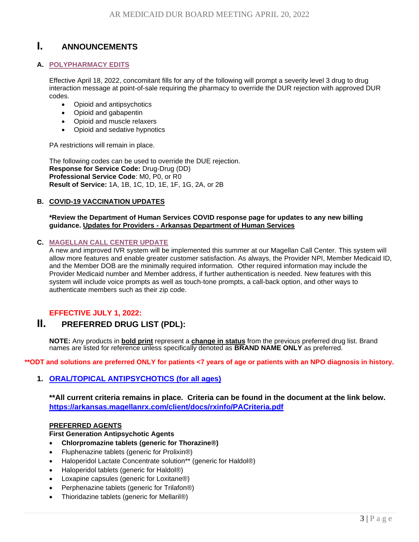# <span id="page-2-0"></span>**I. ANNOUNCEMENTS**

## <span id="page-2-1"></span>**A. POLYPHARMACY EDITS**

Effective April 18, 2022, concomitant fills for any of the following will prompt a severity level 3 drug to drug interaction message at point-of-sale requiring the pharmacy to override the DUR rejection with approved DUR codes.

- Opioid and antipsychotics
- Opioid and gabapentin
- Opioid and muscle relaxers
- Opioid and sedative hypnotics

PA restrictions will remain in place.

The following codes can be used to override the DUE rejection. **Response for Service Code:** Drug-Drug (DD) **Professional Service Code**: M0, P0, or R0 **Result of Service:** 1A, 1B, 1C, 1D, 1E, 1F, 1G, 2A, or 2B

## <span id="page-2-2"></span>**B. COVID-19 VACCINATION UPDATES**

#### **\*Review the Department of Human Services COVID response page for updates to any new billing guidance. Updates for Providers - [Arkansas Department of](https://humanservices.arkansas.gov/covid-19/dhs-response-to-covid-19/updates-for-providers/) Human Services**

## <span id="page-2-3"></span>**C. [MAGELLAN CALL CENTER UPDATE](#page-0-0)**

A new and improved IVR system will be implemented this summer at our Magellan Call Center. This system will allow more features and enable greater customer satisfaction. As always, the Provider NPI, Member Medicaid ID, and the Member DOB are the minimally required information. Other required information may include the Provider Medicaid number and Member address, if further authentication is needed. New features with this system will include voice prompts as well as touch-tone prompts, a call-back option, and other ways to authenticate members such as their zip code.

## <span id="page-2-4"></span>**EFFECTIVE JULY 1, 2022:**

## **II. PREFERRED DRUG LIST (PDL):**

**NOTE:** Any products in **bold print** represent a **change in status** from the previous preferred drug list. Brand names are listed for reference unless specifically denoted as **BRAND NAME ONLY** as preferred.

<span id="page-2-5"></span>**\*\*ODT and solutions are preferred ONLY for patients <7 years of age or patients with an NPO diagnosis in history.**

## **1. [ORAL/TOPICAL ANTIPSYCHOTICS](#page-0-0) (for all ages)**

**\*\*All current criteria remains in place. Criteria can be found in the document at the link below. <https://arkansas.magellanrx.com/client/docs/rxinfo/PACriteria.pdf>**

#### **PREFERRED AGENTS**

### **First Generation Antipsychotic Agents**

- **Chlorpromazine tablets (generic for Thorazine®)**
- Fluphenazine tablets (generic for Prolixin®)
- Haloperidol Lactate Concentrate solution\*\* (generic for Haldol®)
- Haloperidol tablets (generic for Haldol®)
- Loxapine capsules (generic for Loxitane®)
- Perphenazine tablets (generic for Trilafon®)
- Thioridazine tablets (generic for Mellaril®)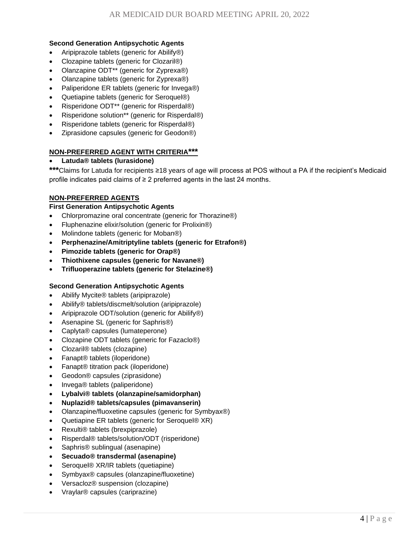## **Second Generation Antipsychotic Agents**

- Aripiprazole tablets (generic for Abilify®)
- Clozapine tablets (generic for Clozaril®)
- Olanzapine ODT\*\* (generic for Zyprexa®)
- Olanzapine tablets (generic for Zyprexa®)
- Paliperidone ER tablets (generic for Invega®)
- Quetiapine tablets (generic for Seroquel®)
- Risperidone ODT\*\* (generic for Risperdal®)
- Risperidone solution\*\* (generic for Risperdal®)
- Risperidone tablets (generic for Risperdal®)
- Ziprasidone capsules (generic for Geodon®)

## **NON-PREFERRED AGENT WITH CRITERIA\*\*\***

## • **Latuda® tablets (lurasidone)**

**\*\*\***Claims for Latuda for recipients ≥18 years of age will process at POS without a PA if the recipient's Medicaid profile indicates paid claims of ≥ 2 preferred agents in the last 24 months.

## **NON-PREFERRED AGENTS**

## **First Generation Antipsychotic Agents**

- Chlorpromazine oral concentrate (generic for Thorazine®)
- Fluphenazine elixir/solution (generic for Prolixin®)
- Molindone tablets (generic for Moban®)
- **Perphenazine/Amitriptyline tablets (generic for Etrafon®)**
- **Pimozide tablets (generic for Orap®)**
- **Thiothixene capsules (generic for Navane®)**
- **Trifluoperazine tablets (generic for Stelazine®)**

## **Second Generation Antipsychotic Agents**

- Abilify Mycite® tablets (aripiprazole)
- Abilify® tablets/discmelt/solution (aripiprazole)
- Aripiprazole ODT/solution (generic for Abilify®)
- Asenapine SL (generic for Saphris®)
- Caplyta® capsules (lumateperone)
- Clozapine ODT tablets (generic for Fazaclo®)
- Clozaril® tablets (clozapine)
- Fanapt® tablets (iloperidone)
- Fanapt® titration pack (iloperidone)
- Geodon® capsules (ziprasidone)
- Invega® tablets (paliperidone)
- **Lybalvi® tablets (olanzapine/samidorphan)**
- **Nuplazid® tablets/capsules (pimavanserin)**
- Olanzapine/fluoxetine capsules (generic for Symbyax®)
- Quetiapine ER tablets (generic for Seroquel® XR)
- Rexulti® tablets (brexpiprazole)
- Risperdal® tablets/solution/ODT (risperidone)
- Saphris® sublingual (asenapine)
- **Secuado® transdermal (asenapine)**
- Seroquel® XR/IR tablets (quetiapine)
- Symbyax® capsules (olanzapine/fluoxetine)
- Versacloz® suspension (clozapine)
- Vraylar® capsules (cariprazine)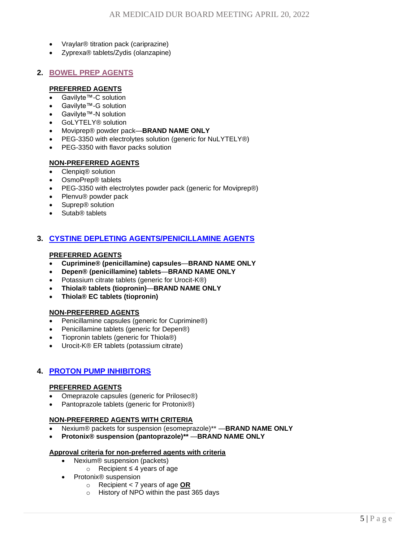- Vraylar® titration pack (cariprazine)
- Zyprexa® tablets/Zydis (olanzapine)

## <span id="page-4-0"></span>**2. [BOWEL PREP AGENTS](#page-0-0)**

## **PREFERRED AGENTS**

- Gavilyte™-C solution
- Gavilyte™-G solution
- Gavilyte™-N solution
- GoLYTELY® solution
- Moviprep® powder pack—**BRAND NAME ONLY**
- PEG-3350 with electrolytes solution (generic for NuLYTELY®)
- PEG-3350 with flavor packs solution

## **NON-PREFERRED AGENTS**

- Clenpiq® solution
- OsmoPrep® tablets
- PEG-3350 with electrolytes powder pack (generic for Moviprep®)
- Plenvu® powder pack
- Suprep® solution
- Sutab<sup>®</sup> tablets

## <span id="page-4-1"></span>**3. [CYSTINE DEPLETING AGENTS/PENICILLAMINE AGENTS](#page-0-0)**

## **PREFERRED AGENTS**

- **Cuprimine® (penicillamine) capsules**—**BRAND NAME ONLY**
- **Depen® (penicillamine) tablets**—**BRAND NAME ONLY**
- Potassium citrate tablets (generic for Urocit-K®)
- **Thiola® tablets (tiopronin)**—**BRAND NAME ONLY**
- **Thiola® EC tablets (tiopronin)**

## **NON-PREFERRED AGENTS**

- Penicillamine capsules (generic for Cuprimine®)
- Penicillamine tablets (generic for Depen®)
- Tiopronin tablets (generic for Thiola®)
- Urocit-K® ER tablets (potassium citrate)

## <span id="page-4-2"></span>**4. [PROTON PUMP INHIBITORS](#page-0-0)**

## **PREFERRED AGENTS**

- Omeprazole capsules (generic for Prilosec®)
- Pantoprazole tablets (generic for Protonix®)

## **NON-PREFERRED AGENTS WITH CRITERIA**

- Nexium® packets for suspension (esomeprazole)\*\* —**BRAND NAME ONLY**
- **Protonix® suspension (pantoprazole)\*\*** —**BRAND NAME ONLY**

## **Approval criteria for non-preferred agents with criteria**

- Nexium<sup>®</sup> suspension (packets)
	- o Recipient ≤ 4 years of age
- Protonix® suspension
	- o Recipient < 7 years of age **OR**
	- o History of NPO within the past 365 days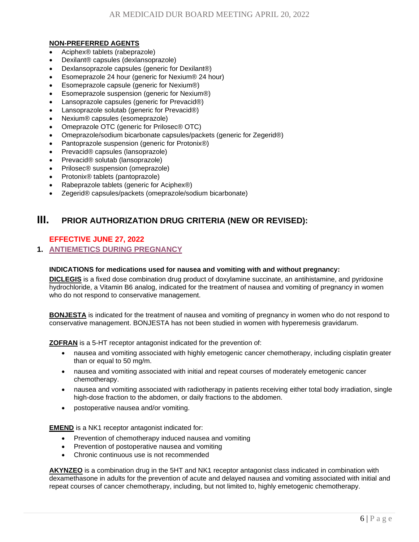## **NON-PREFERRED AGENTS**

- Aciphex® tablets (rabeprazole)
- Dexilant® capsules (dexlansoprazole)
- Dexlansoprazole capsules (generic for Dexilant®)
- Esomeprazole 24 hour (generic for Nexium® 24 hour)
- Esomeprazole capsule (generic for Nexium®)
- Esomeprazole suspension (generic for Nexium®)
- Lansoprazole capsules (generic for Prevacid®)
- Lansoprazole solutab (generic for Prevacid®)
- Nexium® capsules (esomeprazole)
- Omeprazole OTC (generic for Prilosec® OTC)
- Omeprazole/sodium bicarbonate capsules/packets (generic for Zegerid®)
- Pantoprazole suspension (generic for Protonix®)
- Prevacid® capsules (lansoprazole)
- Prevacid® solutab (lansoprazole)
- Prilosec® suspension (omeprazole)
- Protonix® tablets (pantoprazole)
- Rabeprazole tablets (generic for Aciphex®)
- <span id="page-5-0"></span>• Zegerid® capsules/packets (omeprazole/sodium bicarbonate)

## **III. PRIOR AUTHORIZATION DRUG CRITERIA (NEW OR REVISED):**

## **EFFECTIVE JUNE 27, 2022**

## <span id="page-5-1"></span>**1. [ANTIEMETICS DURING PREGNANCY](#page-0-0)**

## **INDICATIONS for medications used for nausea and vomiting with and without pregnancy:**

**DICLEGIS** is a fixed dose combination drug product of doxylamine succinate, an antihistamine, and pyridoxine hydrochloride, a Vitamin B6 analog, indicated for the treatment of nausea and vomiting of pregnancy in women who do not respond to conservative management.

**BONJESTA** is indicated for the treatment of nausea and vomiting of pregnancy in women who do not respond to conservative management. BONJESTA has not been studied in women with hyperemesis gravidarum.

**ZOFRAN** is a 5-HT receptor antagonist indicated for the prevention of:

- nausea and vomiting associated with highly emetogenic cancer chemotherapy, including cisplatin greater than or equal to 50 mg/m.
- nausea and vomiting associated with initial and repeat courses of moderately emetogenic cancer chemotherapy.
- nausea and vomiting associated with radiotherapy in patients receiving either total body irradiation, single high-dose fraction to the abdomen, or daily fractions to the abdomen.
- postoperative nausea and/or vomiting.

**EMEND** is a NK1 receptor antagonist indicated for:

- Prevention of chemotherapy induced nausea and vomiting
- Prevention of postoperative nausea and vomiting
- Chronic continuous use is not recommended

**AKYNZEO** is a combination drug in the 5HT and NK1 receptor antagonist class indicated in combination with dexamethasone in adults for the prevention of acute and delayed nausea and vomiting associated with initial and repeat courses of cancer chemotherapy, including, but not limited to, highly emetogenic chemotherapy.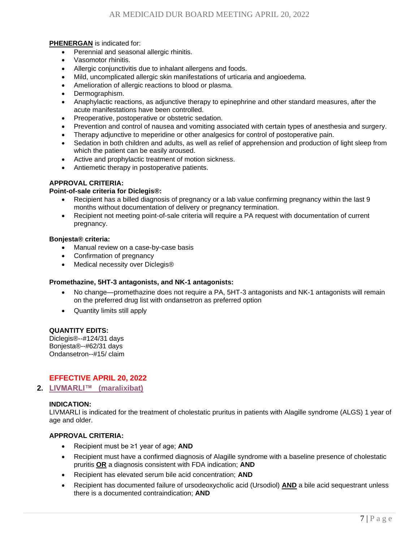## **PHENERGAN** is indicated for:

- Perennial and seasonal allergic rhinitis.
- Vasomotor rhinitis.
- Allergic conjunctivitis due to inhalant allergens and foods.
- Mild, uncomplicated allergic skin manifestations of urticaria and angioedema.
- Amelioration of allergic reactions to blood or plasma.
- Dermographism.
- Anaphylactic reactions, as adjunctive therapy to epinephrine and other standard measures, after the acute manifestations have been controlled.
- Preoperative, postoperative or obstetric sedation.
- Prevention and control of nausea and vomiting associated with certain types of anesthesia and surgery.
- Therapy adjunctive to meperidine or other analgesics for control of postoperative pain.
- Sedation in both children and adults, as well as relief of apprehension and production of light sleep from which the patient can be easily aroused.
- Active and prophylactic treatment of motion sickness.
- Antiemetic therapy in postoperative patients.

## **APPROVAL CRITERIA:**

#### **Point-of-sale criteria for Diclegis®:**

- Recipient has a billed diagnosis of pregnancy or a lab value confirming pregnancy within the last 9 months without documentation of delivery or pregnancy termination.
- Recipient not meeting point-of-sale criteria will require a PA request with documentation of current pregnancy.

#### **Bonjesta® criteria:**

- Manual review on a case-by-case basis
- Confirmation of pregnancy
- Medical necessity over Diclegis®

#### **Promethazine, 5HT-3 antagonists, and NK-1 antagonists:**

- No change—promethazine does not require a PA, 5HT-3 antagonists and NK-1 antagonists will remain on the preferred drug list with ondansetron as preferred option
- Quantity limits still apply

#### **QUANTITY EDITS:**

Diclegis®--#124/31 days Bonjesta®--#62/31 days Ondansetron--#15/ claim

## **EFFECTIVE APRIL 20, 2022**

<span id="page-6-0"></span>**2. [LIVMARLI™ \(maralixibat\)](#page-0-0)**

## **INDICATION:**

LIVMARLI is indicated for the treatment of cholestatic pruritus in patients with Alagille syndrome (ALGS) 1 year of age and older.

- Recipient must be ≥1 year of age; **AND**
- Recipient must have a confirmed diagnosis of Alagille syndrome with a baseline presence of cholestatic pruritis **OR** a diagnosis consistent with FDA indication; **AND**
- Recipient has elevated serum bile acid concentration; **AND**
- Recipient has documented failure of ursodeoxycholic acid (Ursodiol) **AND** a bile acid sequestrant unless there is a documented contraindication; **AND**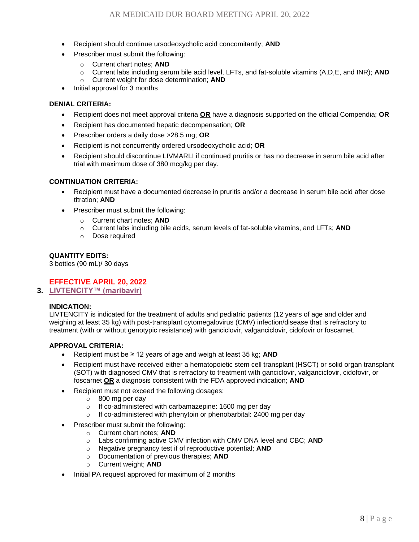- Recipient should continue ursodeoxycholic acid concomitantly; **AND**
- Prescriber must submit the following:
	- o Current chart notes; **AND**
	- o Current labs including serum bile acid level, LFTs, and fat-soluble vitamins (A,D,E, and INR); **AND**
	- o Current weight for dose determination; **AND**
- Initial approval for 3 months

- Recipient does not meet approval criteria **OR** have a diagnosis supported on the official Compendia; **OR**
- Recipient has documented hepatic decompensation; **OR**
- Prescriber orders a daily dose >28.5 mg; **OR**
- Recipient is not concurrently ordered ursodeoxycholic acid; **OR**
- Recipient should discontinue LIVMARLI if continued pruritis or has no decrease in serum bile acid after trial with maximum dose of 380 mcg/kg per day.

## **CONTINUATION CRITERIA:**

- Recipient must have a documented decrease in pruritis and/or a decrease in serum bile acid after dose titration; **AND**
- Prescriber must submit the following:
	- o Current chart notes; **AND**
	- o Current labs including bile acids, serum levels of fat-soluble vitamins, and LFTs; **AND**
	- o Dose required

## **QUANTITY EDITS:**

3 bottles (90 mL)/ 30 days

## **EFFECTIVE APRIL 20, 2022**

<span id="page-7-0"></span>**3. [LIVTENCITY™ \(maribavir\)](#page-0-0)**

#### **INDICATION:**

LIVTENCITY is indicated for the treatment of adults and pediatric patients (12 years of age and older and weighing at least 35 kg) with post-transplant cytomegalovirus (CMV) infection/disease that is refractory to treatment (with or without genotypic resistance) with ganciclovir, valganciclovir, cidofovir or foscarnet.

- Recipient must be ≥ 12 years of age and weigh at least 35 kg; **AND**
- Recipient must have received either a hematopoietic stem cell transplant (HSCT) or solid organ transplant (SOT) with diagnosed CMV that is refractory to treatment with ganciclovir, valganciclovir, cidofovir, or foscarnet **OR** a diagnosis consistent with the FDA approved indication; **AND**
- Recipient must not exceed the following dosages:
	- $\circ$  800 mg per day
	- o If co-administered with carbamazepine: 1600 mg per day
	- o If co-administered with phenytoin or phenobarbital: 2400 mg per day
- Prescriber must submit the following:
	- o Current chart notes; **AND**
	- o Labs confirming active CMV infection with CMV DNA level and CBC; **AND**
	- o Negative pregnancy test if of reproductive potential; **AND**
	- o Documentation of previous therapies; **AND**
	- o Current weight; **AND**
- Initial PA request approved for maximum of 2 months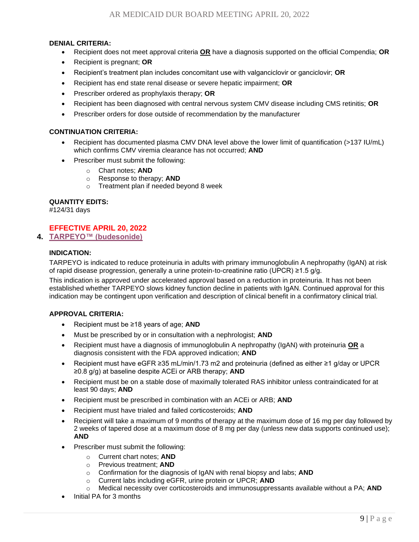- Recipient does not meet approval criteria **OR** have a diagnosis supported on the official Compendia; **OR**
- Recipient is pregnant; **OR**
- Recipient's treatment plan includes concomitant use with valganciclovir or ganciclovir; **OR**
- Recipient has end state renal disease or severe hepatic impairment; **OR**
- Prescriber ordered as prophylaxis therapy; **OR**
- Recipient has been diagnosed with central nervous system CMV disease including CMS retinitis; **OR**
- Prescriber orders for dose outside of recommendation by the manufacturer

## **CONTINUATION CRITERIA:**

- Recipient has documented plasma CMV DNA level above the lower limit of quantification (>137 IU/mL) which confirms CMV viremia clearance has not occurred; **AND**
- Prescriber must submit the following:
	- o Chart notes; **AND**
	- o Response to therapy; **AND**
	- o Treatment plan if needed beyond 8 week

## **QUANTITY EDITS:**

#124/31 days

## **EFFECTIVE APRIL 20, 2022**

<span id="page-8-0"></span>**4. [TARPEYO™ \(budesonide\)](#page-0-0)**

## **INDICATION:**

TARPEYO is indicated to reduce proteinuria in adults with primary immunoglobulin A nephropathy (IgAN) at risk of rapid disease progression, generally a urine protein-to-creatinine ratio (UPCR) ≥1.5 g/g.

This indication is approved under accelerated approval based on a reduction in proteinuria. It has not been established whether TARPEYO slows kidney function decline in patients with IgAN. Continued approval for this indication may be contingent upon verification and description of clinical benefit in a confirmatory clinical trial.

- Recipient must be ≥18 years of age; **AND**
- Must be prescribed by or in consultation with a nephrologist; **AND**
- Recipient must have a diagnosis of immunoglobulin A nephropathy (IgAN) with proteinuria **OR** a diagnosis consistent with the FDA approved indication; **AND**
- Recipient must have eGFR ≥35 mL/min/1.73 m2 and proteinuria (defined as either ≥1 g/day or UPCR ≥0.8 g/g) at baseline despite ACEi or ARB therapy; **AND**
- Recipient must be on a stable dose of maximally tolerated RAS inhibitor unless contraindicated for at least 90 days; **AND**
- Recipient must be prescribed in combination with an ACEi or ARB; **AND**
- Recipient must have trialed and failed corticosteroids; **AND**
- Recipient will take a maximum of 9 months of therapy at the maximum dose of 16 mg per day followed by 2 weeks of tapered dose at a maximum dose of 8 mg per day (unless new data supports continued use); **AND**
- Prescriber must submit the following:
	- o Current chart notes; **AND**
	- o Previous treatment; **AND**
	- o Confirmation for the diagnosis of IgAN with renal biopsy and labs; **AND**
	- o Current labs including eGFR, urine protein or UPCR; **AND**
	- o Medical necessity over corticosteroids and immunosuppressants available without a PA; **AND**
- Initial PA for 3 months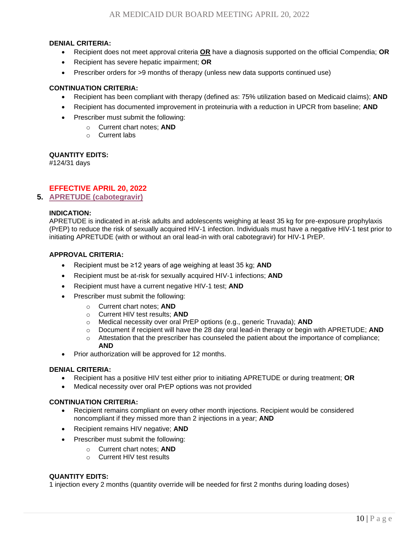- Recipient does not meet approval criteria **OR** have a diagnosis supported on the official Compendia; **OR**
- Recipient has severe hepatic impairment; **OR**
- Prescriber orders for >9 months of therapy (unless new data supports continued use)

#### **CONTINUATION CRITERIA:**

- Recipient has been compliant with therapy (defined as: 75% utilization based on Medicaid claims); **AND**
- Recipient has documented improvement in proteinuria with a reduction in UPCR from baseline; **AND**
- Prescriber must submit the following:
	- o Current chart notes; **AND**
	- o Current labs

#### **QUANTITY EDITS:**

#124/31 days

## **EFFECTIVE APRIL 20, 2022**

<span id="page-9-0"></span>**5. [APRETUDE \(cabotegravir\)](#page-0-0)**

#### **INDICATION:**

APRETUDE is indicated in at-risk adults and adolescents weighing at least 35 kg for pre‑exposure prophylaxis (PrEP) to reduce the risk of sexually acquired HIV-1 infection. Individuals must have a negative HIV-1 test prior to initiating APRETUDE (with or without an oral lead-in with oral cabotegravir) for HIV-1 PrEP.

#### **APPROVAL CRITERIA:**

- Recipient must be ≥12 years of age weighing at least 35 kg; **AND**
- Recipient must be at-risk for sexually acquired HIV-1 infections; **AND**
- Recipient must have a current negative HIV-1 test; **AND**
- Prescriber must submit the following:
	- o Current chart notes; **AND**
	- o Current HIV test results; **AND**
	- o Medical necessity over oral PrEP options (e.g., generic Truvada); **AND**
	- o Document if recipient will have the 28 day oral lead-in therapy or begin with APRETUDE; **AND**
	- $\circ$  Attestation that the prescriber has counseled the patient about the importance of compliance; **AND**
- Prior authorization will be approved for 12 months.

#### **DENIAL CRITERIA:**

- Recipient has a positive HIV test either prior to initiating APRETUDE or during treatment; **OR**
- Medical necessity over oral PrEP options was not provided

#### **CONTINUATION CRITERIA:**

- Recipient remains compliant on every other month injections. Recipient would be considered noncompliant if they missed more than 2 injections in a year; **AND**
- Recipient remains HIV negative; **AND**
- Prescriber must submit the following:
	- o Current chart notes; **AND**
		- o Current HIV test results

#### **QUANTITY EDITS:**

1 injection every 2 months (quantity override will be needed for first 2 months during loading doses)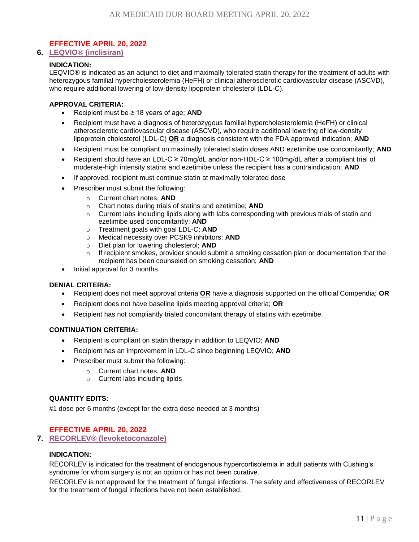## **EFFECTIVE APRIL 20, 2022**

## <span id="page-10-0"></span>**6. [LEQVIO® \(inclisiran\)](#page-0-0)**

## **INDICATION:**

LEQVIO® is indicated as an adjunct to diet and maximally tolerated statin therapy for the treatment of adults with heterozygous familial hypercholesterolemia (HeFH) or clinical atherosclerotic cardiovascular disease (ASCVD), who require additional lowering of low-density lipoprotein cholesterol (LDL-C).

#### **APPROVAL CRITERIA:**

- Recipient must be ≥ 18 years of age; **AND**
- Recipient must have a diagnosis of heterozygous familial hypercholesterolemia (HeFH) or clinical atherosclerotic cardiovascular disease (ASCVD), who require additional lowering of low-density lipoprotein cholesterol (LDL-C) **OR** a diagnosis consistent with the FDA approved indication; **AND**
- Recipient must be compliant on maximally tolerated statin doses AND ezetimibe use concomitantly; **AND**
- Recipient should have an LDL-C ≥ 70mg/dL and/or non-HDL-C ≥ 100mg/dL after a compliant trial of moderate-high intensity statins and ezetimibe unless the recipient has a contraindication; **AND**
- If approved, recipient must continue statin at maximally tolerated dose
- Prescriber must submit the following:
	- o Current chart notes; **AND**
	- o Chart notes during trials of statins and ezetimibe; **AND**
	- $\circ$  Current labs including lipids along with labs corresponding with previous trials of statin and ezetimibe used concomitantly; **AND**
	- o Treatment goals with goal LDL-C; **AND**
	- o Medical necessity over PCSK9 inhibitors; **AND**
	- o Diet plan for lowering cholesterol; **AND**
	- $\circ$  If recipient smokes, provider should submit a smoking cessation plan or documentation that the recipient has been counseled on smoking cessation; **AND**
- Initial approval for 3 months

#### **DENIAL CRITERIA:**

- Recipient does not meet approval criteria **OR** have a diagnosis supported on the official Compendia; **OR**
- Recipient does not have baseline lipids meeting approval criteria; **OR**
- Recipient has not compliantly trialed concomitant therapy of statins with ezetimibe.

#### **CONTINUATION CRITERIA:**

- Recipient is compliant on statin therapy in addition to LEQVIO; **AND**
- Recipient has an improvement in LDL-C since beginning LEQVIO; **AND**
- Prescriber must submit the following:
	- o Current chart notes; **AND**
	- o Current labs including lipids

## **QUANTITY EDITS:**

#1 dose per 6 months (except for the extra dose needed at 3 months)

## **EFFECTIVE APRIL 20, 2022**

<span id="page-10-1"></span>**7. [RECORLEV® \(levoketoconazole\)](#page-0-0)**

## **INDICATION:**

RECORLEV is indicated for the treatment of endogenous hypercortisolemia in adult patients with Cushing's syndrome for whom surgery is not an option or has not been curative.

RECORLEV is not approved for the treatment of fungal infections. The safety and effectiveness of RECORLEV for the treatment of fungal infections have not been established.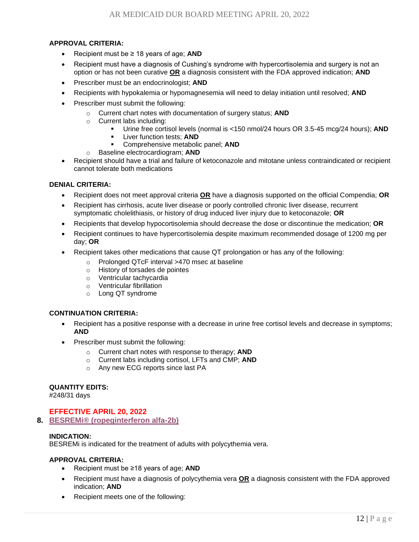## **APPROVAL CRITERIA:**

- Recipient must be ≥ 18 years of age; **AND**
- Recipient must have a diagnosis of Cushing's syndrome with hypercortisolemia and surgery is not an option or has not been curative **OR** a diagnosis consistent with the FDA approved indication; **AND**
- Prescriber must be an endocrinologist; **AND**
- Recipients with hypokalemia or hypomagnesemia will need to delay initiation until resolved; **AND**
- Prescriber must submit the following:
	- o Current chart notes with documentation of surgery status; **AND**
	- o Current labs including:
		- Urine free cortisol levels (normal is <150 nmol/24 hours OR 3.5-45 mcg/24 hours); **AND**
		- **Liver function tests: AND**
		- Comprehensive metabolic panel; **AND**
	- o Baseline electrocardiogram; **AND**
- Recipient should have a trial and failure of ketoconazole and mitotane unless contraindicated or recipient cannot tolerate both medications

#### **DENIAL CRITERIA:**

- Recipient does not meet approval criteria **OR** have a diagnosis supported on the official Compendia; **OR**
- Recipient has cirrhosis, acute liver disease or poorly controlled chronic liver disease, recurrent symptomatic cholelithiasis, or history of drug induced liver injury due to ketoconazole; **OR**
- Recipients that develop hypocortisolemia should decrease the dose or discontinue the medication; **OR**
- Recipient continues to have hypercortisolemia despite maximum recommended dosage of 1200 mg per day; **OR**
- Recipient takes other medications that cause QT prolongation or has any of the following:
	- o Prolonged QTcF interval >470 msec at baseline
	- o History of torsades de pointes
	- o Ventricular tachycardia
	- o Ventricular fibrillation
	- o Long QT syndrome

#### **CONTINUATION CRITERIA:**

- Recipient has a positive response with a decrease in urine free cortisol levels and decrease in symptoms; **AND**
- Prescriber must submit the following:
	- o Current chart notes with response to therapy; **AND**
	- o Current labs including cortisol, LFTs and CMP; **AND**
	- o Any new ECG reports since last PA

#### **QUANTITY EDITS:**

#248/31 days

## **EFFECTIVE APRIL 20, 2022**

<span id="page-11-0"></span>**8. [BESREMi® \(ropeginterferon alfa-2b\)](#page-0-0)**

## **INDICATION:**

BESREMi is indicated for the treatment of adults with polycythemia vera.

- Recipient must be ≥18 years of age; **AND**
- Recipient must have a diagnosis of polycythemia vera **OR** a diagnosis consistent with the FDA approved indication; **AND**
- Recipient meets one of the following: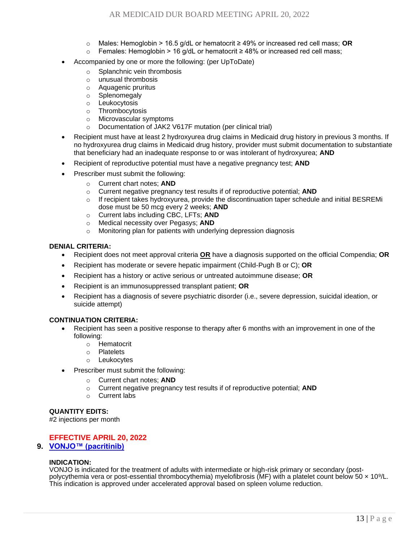- o Males: Hemoglobin > 16.5 g/dL or hematocrit ≥ 49% or increased red cell mass; **OR**
- o Females: Hemoglobin > 16 g/dL or hematocrit ≥ 48% or increased red cell mass;
- Accompanied by one or more the following: (per UpToDate)
	- o Splanchnic vein thrombosis
	- o unusual thrombosis
	- o Aquagenic pruritus
	- o Splenomegaly
	- o Leukocytosis
	- o Thrombocytosis
	- o Microvascular symptoms
	- o Documentation of JAK2 V617F mutation (per clinical trial)
- Recipient must have at least 2 hydroxyurea drug claims in Medicaid drug history in previous 3 months. If no hydroxyurea drug claims in Medicaid drug history, provider must submit documentation to substantiate that beneficiary had an inadequate response to or was intolerant of hydroxyurea; **AND**
- Recipient of reproductive potential must have a negative pregnancy test; **AND**
- Prescriber must submit the following:
	- o Current chart notes; **AND**
	- o Current negative pregnancy test results if of reproductive potential; **AND**
	- o If recipient takes hydroxyurea, provide the discontinuation taper schedule and initial BESREMi dose must be 50 mcg every 2 weeks; **AND**
	- o Current labs including CBC, LFTs; **AND**
	- o Medical necessity over Pegasys; **AND**
	- o Monitoring plan for patients with underlying depression diagnosis

- Recipient does not meet approval criteria **OR** have a diagnosis supported on the official Compendia; **OR**
- Recipient has moderate or severe hepatic impairment (Child-Pugh B or C); **OR**
- Recipient has a history or active serious or untreated autoimmune disease; **OR**
- Recipient is an immunosuppressed transplant patient; **OR**
- Recipient has a diagnosis of severe psychiatric disorder (i.e., severe depression, suicidal ideation, or suicide attempt)

## **CONTINUATION CRITERIA:**

- Recipient has seen a positive response to therapy after 6 months with an improvement in one of the following:
	- o Hematocrit
	- o Platelets
	- o Leukocytes
- Prescriber must submit the following:
	- o Current chart notes; **AND**
	- o Current negative pregnancy test results if of reproductive potential; **AND**
	- o Current labs

## **QUANTITY EDITS:**

#2 injections per month

## **EFFECTIVE APRIL 20, 2022**

## <span id="page-12-0"></span>**9. [VONJO™ \(pacritinib\)](#page-0-0)**

## **INDICATION:**

VONJO is indicated for the treatment of adults with intermediate or high-risk primary or secondary (postpolycythemia vera or post-essential thrombocythemia) myelofibrosis (MF) with a platelet count below 50 x 10<sup>9</sup>/L. This indication is approved under accelerated approval based on spleen volume reduction.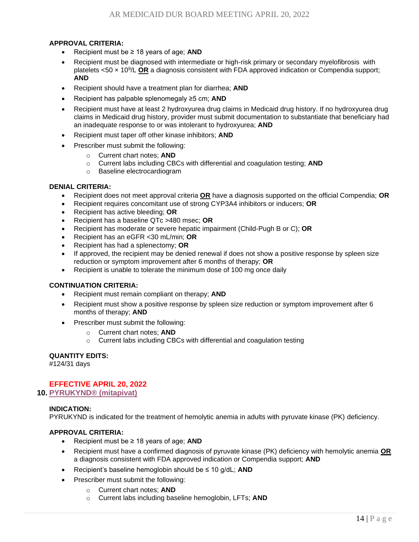## **APPROVAL CRITERIA:**

- Recipient must be ≥ 18 years of age; **AND**
- Recipient must be diagnosed with intermediate or high-risk primary or secondary myelofibrosis with platelets <50 × 10<sup>9</sup> /L **OR** a diagnosis consistent with FDA approved indication or Compendia support; **AND**
- Recipient should have a treatment plan for diarrhea; **AND**
- Recipient has palpable splenomegaly ≥5 cm; **AND**
- Recipient must have at least 2 hydroxyurea drug claims in Medicaid drug history. If no hydroxyurea drug claims in Medicaid drug history, provider must submit documentation to substantiate that beneficiary had an inadequate response to or was intolerant to hydroxyurea; **AND**
- Recipient must taper off other kinase inhibitors; **AND**
- Prescriber must submit the following:
	- o Current chart notes; **AND**
	- o Current labs including CBCs with differential and coagulation testing; **AND**
	- o Baseline electrocardiogram

## **DENIAL CRITERIA:**

- Recipient does not meet approval criteria **OR** have a diagnosis supported on the official Compendia; **OR**
- Recipient requires concomitant use of strong CYP3A4 inhibitors or inducers; **OR**
- Recipient has active bleeding; **OR**
- Recipient has a baseline QTc >480 msec; **OR**
- Recipient has moderate or severe hepatic impairment (Child-Pugh B or C); **OR**
- Recipient has an eGFR <30 mL/min; **OR**
- Recipient has had a splenectomy; **OR**
- If approved, the recipient may be denied renewal if does not show a positive response by spleen size reduction or symptom improvement after 6 months of therapy; **OR**
- Recipient is unable to tolerate the minimum dose of 100 mg once daily

#### **CONTINUATION CRITERIA:**

- Recipient must remain compliant on therapy; **AND**
- Recipient must show a positive response by spleen size reduction or symptom improvement after 6 months of therapy; **AND**
- Prescriber must submit the following:
	- o Current chart notes; **AND**
	- o Current labs including CBCs with differential and coagulation testing

#### **QUANTITY EDITS:**

#124/31 days

## **EFFECTIVE APRIL 20, 2022**

<span id="page-13-0"></span>**10. [PYRUKYND® \(mitapivat\)](#page-0-0)**

## **INDICATION:**

PYRUKYND is indicated for the treatment of hemolytic anemia in adults with pyruvate kinase (PK) deficiency.

- Recipient must be ≥ 18 years of age; **AND**
- Recipient must have a confirmed diagnosis of pyruvate kinase (PK) deficiency with hemolytic anemia **OR** a diagnosis consistent with FDA approved indication or Compendia support; **AND**
- Recipient's baseline hemoglobin should be ≤ 10 g/dL; **AND**
- Prescriber must submit the following:
	- o Current chart notes; **AND**
	- o Current labs including baseline hemoglobin, LFTs; **AND**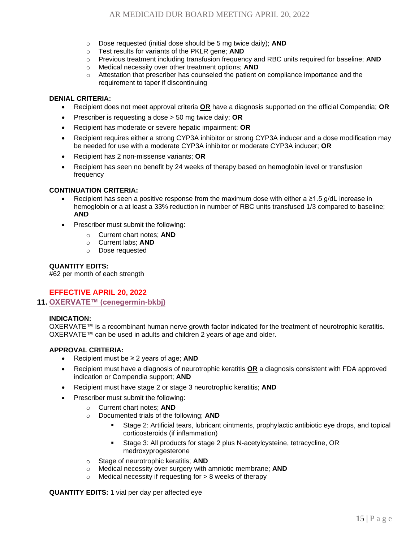- o Dose requested (initial dose should be 5 mg twice daily); **AND**
- o Test results for variants of the PKLR gene; **AND**
- o Previous treatment including transfusion frequency and RBC units required for baseline; **AND**
- o Medical necessity over other treatment options; **AND**
- $\circ$  Attestation that prescriber has counseled the patient on compliance importance and the requirement to taper if discontinuing

- Recipient does not meet approval criteria **OR** have a diagnosis supported on the official Compendia; **OR**
- Prescriber is requesting a dose > 50 mg twice daily; **OR**
- Recipient has moderate or severe hepatic impairment; **OR**
- Recipient requires either a strong CYP3A inhibitor or strong CYP3A inducer and a dose modification may be needed for use with a moderate CYP3A inhibitor or moderate CYP3A inducer; **OR**
- Recipient has 2 non-missense variants; **OR**
- Recipient has seen no benefit by 24 weeks of therapy based on hemoglobin level or transfusion frequency

## **CONTINUATION CRITERIA:**

- Recipient has seen a positive response from the maximum dose with either a  $\geq 1.5$  g/dL increase in hemoglobin or a at least a 33% reduction in number of RBC units transfused 1/3 compared to baseline; **AND**
- Prescriber must submit the following:
	- o Current chart notes; **AND**
	- o Current labs; **AND**
	- o Dose requested

## **QUANTITY EDITS:**

#62 per month of each strength

## **EFFECTIVE APRIL 20, 2022**

<span id="page-14-0"></span>**11. [OXERVATE™ \(cenegermin-bkbj\)](#page-0-0)**

#### **INDICATION:**

OXERVATE™ is a recombinant human nerve growth factor indicated for the treatment of neurotrophic keratitis. OXERVATE™ can be used in adults and children 2 years of age and older.

#### **APPROVAL CRITERIA:**

- Recipient must be ≥ 2 years of age; **AND**
- Recipient must have a diagnosis of neurotrophic keratitis **OR** a diagnosis consistent with FDA approved indication or Compendia support; **AND**
- Recipient must have stage 2 or stage 3 neurotrophic keratitis; **AND**
- Prescriber must submit the following:
	- o Current chart notes; **AND**
	- o Documented trials of the following; **AND**
		- Stage 2: Artificial tears, lubricant ointments, prophylactic antibiotic eye drops, and topical corticosteroids (if inflammation)
		- Stage 3: All products for stage 2 plus N-acetylcysteine, tetracycline, OR medroxyprogesterone
	- o Stage of neurotrophic keratitis; **AND**
	- o Medical necessity over surgery with amniotic membrane; **AND**
	- $\circ$  Medical necessity if requesting for  $> 8$  weeks of therapy

**QUANTITY EDITS:** 1 vial per day per affected eye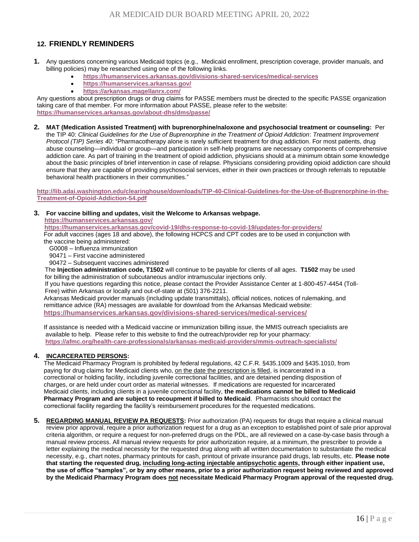## <span id="page-15-0"></span>**12. FRIENDLY REMINDERS**

- **1.** Any questions concerning various Medicaid topics (e.g., Medicaid enrollment, prescription coverage, provider manuals, and billing policies) may be researched using one of the following links.
	- **<https://humanservices.arkansas.gov/divisions-shared-services/medical-services>**
	- **<https://humanservices.arkansas.gov/>**
	- **<https://arkansas.magellanrx.com/>**

behavioral health practitioners in their communities."

Any questions about prescription drugs or drug claims for PASSE members must be directed to the specific PASSE organization taking care of that member. For more information about PASSE, please refer to the website: **<https://humanservices.arkansas.gov/about-dhs/dms/passe/>**

**2. MAT (Medication Assisted Treatment) with buprenorphine/naloxone and psychosocial treatment or counseling:** Per the TIP 40: *Clinical Guidelines for the Use of Buprenorphine in the Treatment of Opioid Addiction*: *Treatment Improvement Protocol (TIP) Series 40*: "Pharmacotherapy alone is rarely sufficient treatment for drug addiction. For most patients, drug abuse counseling—individual or group—and participation in self-help programs are necessary components of comprehensive addiction care. As part of training in the treatment of opioid addiction, physicians should at a minimum obtain some knowledge about the basic principles of brief intervention in case of relapse. Physicians considering providing opioid addiction care should ensure that they are capable of providing psychosocial services, either in their own practices or through referrals to reputable

**[http://lib.adai.washington.edu/clearinghouse/downloads/TIP-40-Clinical-Guidelines-for-the-Use-of-Buprenorphine-in-the-](http://lib.adai.washington.edu/clearinghouse/downloads/TIP-40-Clinical-Guidelines-for-the-Use-of-Buprenorphine-in-the-Treatment-of-Opioid-Addiction-54.pdf)[Treatment-of-Opioid-Addiction-54.pdf](http://lib.adai.washington.edu/clearinghouse/downloads/TIP-40-Clinical-Guidelines-for-the-Use-of-Buprenorphine-in-the-Treatment-of-Opioid-Addiction-54.pdf)**

#### **3. For vaccine billing and updates, visit the Welcome to Arkansas webpage.**

**<https://humanservices.arkansas.gov/>**

 **<https://humanservices.arkansas.gov/covid-19/dhs-response-to-covid-19/updates-for-providers/>** For adult vaccines (ages 18 and above), the following HCPCS and CPT codes are to be used in conjunction with the vaccine being administered:

- G0008 Influenza immunization
- 90471 First vaccine administered

90472 – Subsequent vaccines administered

 The **Injection administration code, T1502** will continue to be payable for clients of all ages. **T1502** may be used for billing the administration of subcutaneous and/or intramuscular injections only.

 If you have questions regarding this notice, please contact the Provider Assistance Center at 1-800-457-4454 (Toll- Free) within Arkansas or locally and out-of-state at (501) 376-2211.

 Arkansas Medicaid provider manuals (including update transmittals), official notices, notices of rulemaking, and remittance advice (RA) messages are available for download from the Arkansas Medicaid website:  **<https://humanservices.arkansas.gov/divisions-shared-services/medical-services/>**

 If assistance is needed with a Medicaid vaccine or immunization billing issue, the MMIS outreach specialists are available to help. Please refer to this website to find the outreach/provider rep for your pharmacy: **<https://afmc.org/health-care-professionals/arkansas-medicaid-providers/mmis-outreach-specialists/>**

#### **4. INCARCERATED PERSONS:**

 The Medicaid Pharmacy Program is prohibited by federal regulations, 42 C.F.R. §435.1009 and §435.1010, from paying for drug claims for Medicaid clients who, on the date the prescription is filled, is incarcerated in a correctional or holding facility, including juvenile correctional facilities, and are detained pending disposition of charges, or are held under court order as material witnesses. If medications are requested for incarcerated Medicaid clients, including clients in a juvenile correctional facility, **the medications cannot be billed to Medicaid Pharmacy Program and are subject to recoupment if billed to Medicaid**. Pharmacists should contact the correctional facility regarding the facility's reimbursement procedures for the requested medications.

**5. REGARDING MANUAL REVIEW PA REQUESTS:** Prior authorization (PA) requests for drugs that require a clinical manual review prior approval, require a prior authorization request for a drug as an exception to established point of sale prior approval criteria algorithm, or require a request for non-preferred drugs on the PDL, are all reviewed on a case-by-case basis through a manual review process. All manual review requests for prior authorization require, at a minimum, the prescriber to provide a letter explaining the medical necessity for the requested drug along with all written documentation to substantiate the medical necessity, e.g., chart notes, pharmacy printouts for cash, printout of private insurance paid drugs, lab results, etc. **Please note that starting the requested drug, including long-acting injectable antipsychotic agents, through either inpatient use, the use of office "samples", or by any other means, prior to a prior authorization request being reviewed and approved by the Medicaid Pharmacy Program does not necessitate Medicaid Pharmacy Program approval of the requested drug.**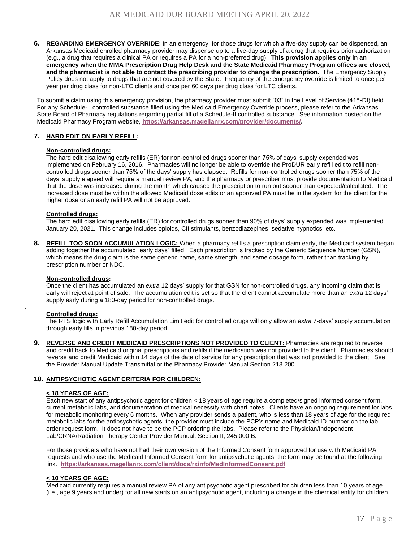**6. REGARDING EMERGENCY OVERRIDE**: In an emergency, for those drugs for which a five-day supply can be dispensed, an Arkansas Medicaid enrolled pharmacy provider may dispense up to a five-day supply of a drug that requires prior authorization (e.g., a drug that requires a clinical PA or requires a PA for a non-preferred drug). **This provision applies only in an emergency when the MMA Prescription Drug Help Desk and the State Medicaid Pharmacy Program offices are closed, and the pharmacist is not able to contact the prescribing provider to change the prescription.** The Emergency Supply Policy does not apply to drugs that are not covered by the State. Frequency of the emergency override is limited to once per year per drug class for non-LTC clients and once per 60 days per drug class for LTC clients.

To submit a claim using this emergency provision, the pharmacy provider must submit "03" in the Level of Service (418-DI) field. For any Schedule-II controlled substance filled using the Medicaid Emergency Override process, please refer to the Arkansas State Board of Pharmacy regulations regarding partial fill of a Schedule-II controlled substance. See information posted on the Medicaid Pharmacy Program website, **[https://arkansas.magellanrx.com/provider/documents/.](https://arkansas.magellanrx.com/provider/documents/)**

#### **7. HARD EDIT ON EARLY REFILL:**

#### **Non-controlled drugs:**

The hard edit disallowing early refills (ER) for non-controlled drugs sooner than 75% of days' supply expended was implemented on February 16, 2016. Pharmacies will no longer be able to override the ProDUR early refill edit to refill noncontrolled drugs sooner than 75% of the days' supply has elapsed. Refills for non-controlled drugs sooner than 75% of the days' supply elapsed will require a manual review PA, and the pharmacy or prescriber must provide documentation to Medicaid that the dose was increased during the month which caused the prescription to run out sooner than expected/calculated. The increased dose must be within the allowed Medicaid dose edits or an approved PA must be in the system for the client for the higher dose or an early refill PA will not be approved.

#### **Controlled drugs:**

The hard edit disallowing early refills (ER) for controlled drugs sooner than 90% of days' supply expended was implemented January 20, 2021. This change includes opioids, CII stimulants, benzodiazepines, sedative hypnotics, etc.

**8. REFILL TOO SOON ACCUMULATION LOGIC:** When a pharmacy refills a prescription claim early, the Medicaid system began adding together the accumulated "early days" filled. Each prescription is tracked by the Generic Sequence Number (GSN), which means the drug claim is the same generic name, same strength, and same dosage form, rather than tracking by prescription number or NDC.

#### **Non-controlled drugs:**

Once the client has accumulated an *extra* 12 days' supply for that GSN for non-controlled drugs, any incoming claim that is early will reject at point of sale. The accumulation edit is set so that the client cannot accumulate more than an *extra* 12 days' supply early during a 180-day period for non-controlled drugs.

#### **Controlled drugs:**

.

The RTS logic with Early Refill Accumulation Limit edit for controlled drugs will only allow an *extra* 7-days' supply accumulation through early fills in previous 180-day period.

**9. REVERSE AND CREDIT MEDICAID PRESCRIPTIONS NOT PROVIDED TO CLIENT:** Pharmacies are required to reverse and credit back to Medicaid original prescriptions and refills if the medication was not provided to the client. Pharmacies should reverse and credit Medicaid within 14 days of the date of service for any prescription that was not provided to the client. See the Provider Manual Update Transmittal or the Pharmacy Provider Manual Section 213.200.

#### **10. ANTIPSYCHOTIC AGENT CRITERIA FOR CHILDREN:**

#### **< 18 YEARS OF AGE:**

Each new start of any antipsychotic agent for children < 18 years of age require a completed/signed informed consent form, current metabolic labs, and documentation of medical necessity with chart notes. Clients have an ongoing requirement for labs for metabolic monitoring every 6 months. When any provider sends a patient, who is less than 18 years of age for the required metabolic labs for the antipsychotic agents, the provider must include the PCP's name and Medicaid ID number on the lab order request form. It does not have to be the PCP ordering the labs. Please refer to the Physician/Independent Lab/CRNA/Radiation Therapy Center Provider Manual, Section II, 245.000 B.

For those providers who have not had their own version of the Informed Consent form approved for use with Medicaid PA requests and who use the Medicaid Informed Consent form for antipsychotic agents, the form may be found at the following link. **<https://arkansas.magellanrx.com/client/docs/rxinfo/MedInformedConsent.pdf>**

#### **< 10 YEARS OF AGE:**

Medicaid currently requires a manual review PA of any antipsychotic agent prescribed for children less than 10 years of age (i.e., age 9 years and under) for all new starts on an antipsychotic agent, including a change in the chemical entity for children